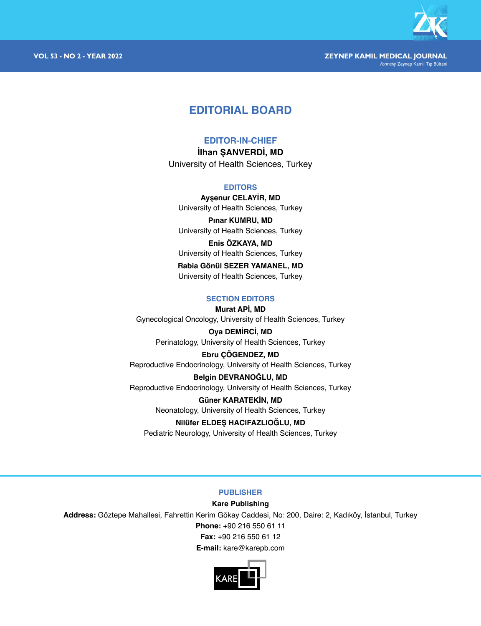

# **EDITORIAL BOARD**

# **EDITOR-IN-CHIEF**

**İlhan ŞANVERDİ, MD** University of Health Sciences, Turkey

# **EDITORS**

**Ayşenur CELAYİR, MD** University of Health Sciences, Turkey

**Pınar KUMRU, MD** University of Health Sciences, Turkey

**Enis ÖZKAYA, MD** University of Health Sciences, Turkey

**Rabia Gönül SEZER YAMANEL, MD** University of Health Sciences, Turkey

# **SECTION EDITORS**

**Murat APİ, MD**

Gynecological Oncology, University of Health Sciences, Turkey

**Oya DEMİRCİ, MD** Perinatology, University of Health Sciences, Turkey

**Ebru ÇÖGENDEZ, MD** Reproductive Endocrinology, University of Health Sciences, Turkey

**Belgin DEVRANOĞLU, MD** Reproductive Endocrinology, University of Health Sciences, Turkey

> **Güner KARATEKİN, MD** Neonatology, University of Health Sciences, Turkey

# **Nilüfer ELDEŞ HACIFAZLIOĞLU, MD**

Pediatric Neurology, University of Health Sciences, Turkey

# **PUBLISHER**

# **Kare Publishing**

**Address:** Göztepe Mahallesi, Fahrettin Kerim Gökay Caddesi, No: 200, Daire: 2, Kadıköy, İstanbul, Turkey

**Phone:** +90 216 550 61 11

**Fax:** +90 216 550 61 12

**E-mail:** kare@karepb.com

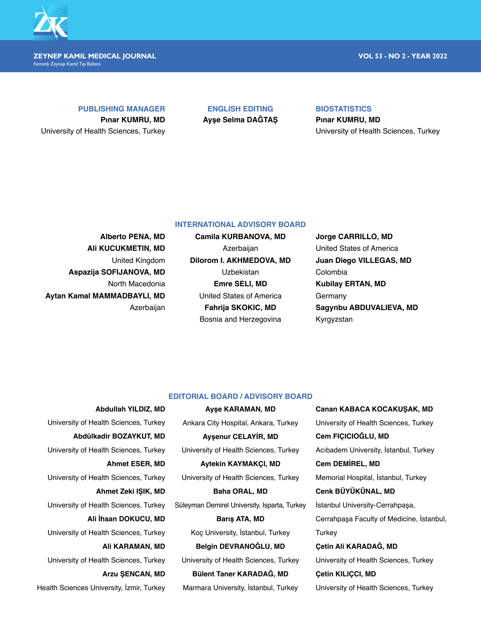

#### **ZEYNEP KAMIL MEDICAL JOURNAL VOL 53 - NO 2 - YEAR 2022** *Formerly* Zeynep Kamil Tıp Bülteni

## **PUBLISHING MANAGER**

**Pınar KUMRU, MD** University of Health Sciences, Turkey

**ENGLISH EDITING Ayşe Selma DAĞTAŞ**

# **BIOSTATISTICS**

**Pınar KUMRU, MD** University of Health Sciences, Turkey

# **INTERNATIONAL ADVISORY BOARD**

**Alberto PENA, MD Ali KUCUKMETIN, MD** United Kingdom **Aspazija SOFIJANOVA, MD** North Macedonia **Aytan Kamal MAMMADBAYLI, MD** Azerbaijan

**Camila KURBANOVA, MD** Azerbaijan **Dilorom I. AKHMEDOVA, MD** Uzbekistan **Emre SELI, MD** United States of America **Fahrija SKOKIC, MD** Bosnia and Herzegovina

**Jorge CARRILLO, MD** United States of America **Juan Diego VILLEGAS, MD** Colombia **Kubilay ERTAN, MD Germany Sagynbu ABDUVALIEVA, MD** Kyrgyzstan

# **EDITORIAL BOARD / ADVISORY BOARD**

**Abdullah YILDIZ, MD** University of Health Sciences, Turkey **Abdülkadir BOZAYKUT, MD** University of Health Sciences, Turkey **Ahmet ESER, MD** University of Health Sciences, Turkey **Ahmet Zeki IŞIK, MD** University of Health Sciences, Turkey **Ali İhsan DOKUCU, MD** University of Health Sciences, Turkey **Ali KARAMAN, MD** University of Health Sciences, Turkey **Arzu ŞENCAN, MD** Health Sciences University, İzmir, Turkey

**Ayşe KARAMAN, MD** Ankara City Hospital, Ankara, Turkey **Ayşenur CELAYİR, MD** University of Health Sciences, Turkey **Aytekin KAYMAKÇI, MD** University of Health Sciences, Turkey **Baha ORAL, MD** Süleyman Demirel University, Isparta, Turkey **Barış ATA, MD** Koç University, İstanbul, Turkey

**Belgin DEVRANOĞLU, MD** University of Health Sciences, Turkey

**Bülent Taner KARADAĞ, MD** Marmara University, İstanbul, Turkey **Canan KABACA KOCAKUŞAK, MD** University of Health Sciences, Turkey **Cem FIÇICIOĞLU, MD** Acıbadem University, İstanbul, Turkey **Cem DEMİREL, MD** Memorial Hospital, İstanbul, Turkey **Cenk BÜYÜKÜNAL, MD** İstanbul University-Cerrahpaşa, Cerrahpaşa Faculty of Medicine, İstanbul,

**Turkey Çetin Ali KARADAĞ, MD**

University of Health Sciences, Turkey **Çetin KILIÇCI, MD**

University of Health Sciences, Turkey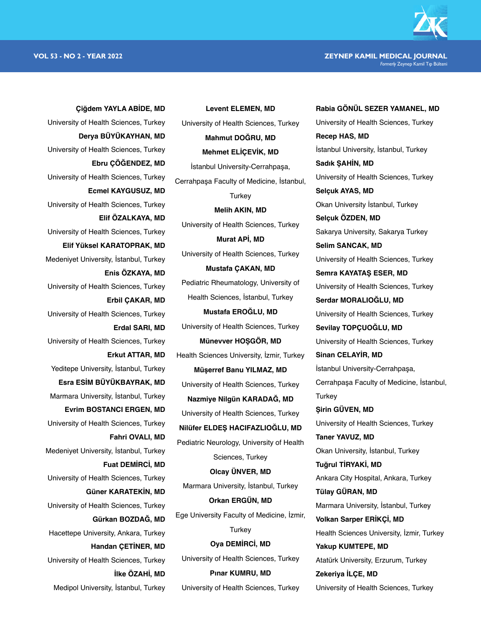**VOL 53 - NO 2 - YEAR 2022 ZEYNEP KAMIL MEDICAL JOURNAL** *Formerly* Zeynep Kamil Tıp Bülteni

**Rabia GÖNÜL SEZER YAMANEL, MD**

**Çiğdem YAYLA ABİDE, MD** University of Health Sciences, Turkey **Derya BÜYÜKAYHAN, MD** University of Health Sciences, Turkey **Ebru ÇÖĞENDEZ, MD** University of Health Sciences, Turkey **Ecmel KAYGUSUZ, MD** University of Health Sciences, Turkey **Elif ÖZALKAYA, MD** University of Health Sciences, Turkey **Elif Yüksel KARATOPRAK, MD** Medeniyet University, İstanbul, Turkey **Enis ÖZKAYA, MD** University of Health Sciences, Turkey **Erbil ÇAKAR, MD** University of Health Sciences, Turkey **Erdal SARI, MD** University of Health Sciences, Turkey **Erkut ATTAR, MD** Yeditepe University, İstanbul, Turkey **Esra ESİM BÜYÜKBAYRAK, MD** Marmara University, İstanbul, Turkey **Evrim BOSTANCI ERGEN, MD** University of Health Sciences, Turkey **Fahri OVALI, MD** Medeniyet University, İstanbul, Turkey **Fuat DEMİRCİ, MD** University of Health Sciences, Turkey **Güner KARATEKİN, MD** University of Health Sciences, Turkey **Gürkan BOZDAĞ, MD** Hacettepe University, Ankara, Turkey **Handan ÇETİNER, MD** University of Health Sciences, Turkey **İlke ÖZAHİ, MD** Medipol University, İstanbul, Turkey

University of Health Sciences, Turkey **Mahmut DOĞRU, MD Mehmet ELİÇEVİK, MD** İstanbul University-Cerrahpaşa, Cerrahpaşa Faculty of Medicine, İstanbul, **Turkey Melih AKIN, MD** University of Health Sciences, Turkey **Murat APİ, MD** University of Health Sciences, Turkey **Mustafa ÇAKAN, MD** Pediatric Rheumatology, University of Health Sciences, İstanbul, Turkey **Mustafa EROĞLU, MD** University of Health Sciences, Turkey **Münevver HOŞGÖR, MD** Health Sciences University, İzmir, Turkey **Müşerref Banu YILMAZ, MD** University of Health Sciences, Turkey **Nazmiye Nilgün KARADAĞ, MD** University of Health Sciences, Turkey **Nilüfer ELDEŞ HACIFAZLIOĞLU, MD** Pediatric Neurology, University of Health Sciences, Turkey **Olcay ÜNVER, MD** Marmara University, İstanbul, Turkey **Orkan ERGÜN, MD** Ege University Faculty of Medicine, İzmir, **Turkey Oya DEMİRCİ, MD** University of Health Sciences, Turkey

**Levent ELEMEN, MD**

**Pınar KUMRU, MD** University of Health Sciences, Turkey University of Health Sciences, Turkey **Recep HAS, MD** İstanbul University, İstanbul, Turkey **Sadık ŞAHİN, MD** University of Health Sciences, Turkey **Selçuk AYAS, MD** Okan University İstanbul, Turkey **Selçuk ÖZDEN, MD** Sakarya University, Sakarya Turkey **Selim SANCAK, MD** University of Health Sciences, Turkey **Semra KAYATAŞ ESER, MD** University of Health Sciences, Turkey **Serdar MORALIOĞLU, MD** University of Health Sciences, Turkey **Sevilay TOPÇUOĞLU, MD** University of Health Sciences, Turkey **Sinan CELAYİR, MD** İstanbul University-Cerrahpaşa, Cerrahpaşa Faculty of Medicine, İstanbul, **Turkey Şirin GÜVEN, MD** University of Health Sciences, Turkey **Taner YAVUZ, MD** Okan University, İstanbul, Turkey **Tuğrul TİRYAKİ, MD** Ankara City Hospital, Ankara, Turkey **Tülay GÜRAN, MD** Marmara University, İstanbul, Turkey **Volkan Sarper ERİKÇİ, MD** Health Sciences University, İzmir, Turkey **Yakup KUMTEPE, MD** Atatürk University, Erzurum, Turkey **Zekeriya İLÇE, MD** University of Health Sciences, Turkey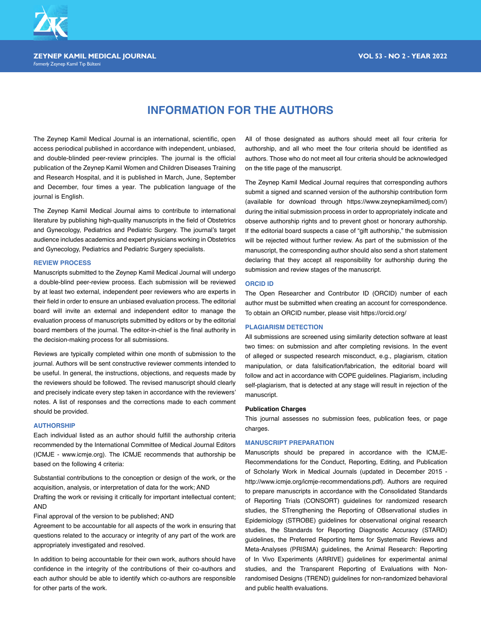

*Formerly* Zeynep Kamil Tıp Bülteni

# **INFORMATION FOR THE AUTHORS**

The Zeynep Kamil Medical Journal is an international, scientific, open access periodical published in accordance with independent, unbiased, and double-blinded peer-review principles. The journal is the official publication of the Zeynep Kamil Women and Children Diseases Training and Research Hospital, and it is published in March, June, September and December, four times a year. The publication language of the journal is English.

The Zeynep Kamil Medical Journal aims to contribute to international literature by publishing high-quality manuscripts in the field of Obstetrics and Gynecology, Pediatrics and Pediatric Surgery. The journal's target audience includes academics and expert physicians working in Obstetrics and Gynecology, Pediatrics and Pediatric Surgery specialists.

#### **REVIEW PROCESS**

Manuscripts submitted to the Zeynep Kamil Medical Journal will undergo a double-blind peer-review process. Each submission will be reviewed by at least two external, independent peer reviewers who are experts in their field in order to ensure an unbiased evaluation process. The editorial board will invite an external and independent editor to manage the evaluation process of manuscripts submitted by editors or by the editorial board members of the journal. The editor-in-chief is the final authority in the decision-making process for all submissions.

Reviews are typically completed within one month of submission to the journal. Authors will be sent constructive reviewer comments intended to be useful. In general, the instructions, objections, and requests made by the reviewers should be followed. The revised manuscript should clearly and precisely indicate every step taken in accordance with the reviewers' notes. A list of responses and the corrections made to each comment should be provided.

### **AUTHORSHIP**

Each individual listed as an author should fulfill the authorship criteria recommended by the International Committee of Medical Journal Editors (ICMJE - www.icmje.org). The ICMJE recommends that authorship be based on the following 4 criteria:

Substantial contributions to the conception or design of the work, or the acquisition, analysis, or interpretation of data for the work; AND

Drafting the work or revising it critically for important intellectual content; AND

Final approval of the version to be published; AND

Agreement to be accountable for all aspects of the work in ensuring that questions related to the accuracy or integrity of any part of the work are appropriately investigated and resolved.

In addition to being accountable for their own work, authors should have confidence in the integrity of the contributions of their co-authors and each author should be able to identify which co-authors are responsible for other parts of the work.

All of those designated as authors should meet all four criteria for authorship, and all who meet the four criteria should be identified as authors. Those who do not meet all four criteria should be acknowledged on the title page of the manuscript.

The Zeynep Kamil Medical Journal requires that corresponding authors submit a signed and scanned version of the authorship contribution form (available for download through https://www.zeynepkamilmedj.com/) during the initial submission process in order to appropriately indicate and observe authorship rights and to prevent ghost or honorary authorship. If the editorial board suspects a case of "gift authorship," the submission will be rejected without further review. As part of the submission of the manuscript, the corresponding author should also send a short statement declaring that they accept all responsibility for authorship during the submission and review stages of the manuscript.

### **ORCID ID**

The Open Researcher and Contributor ID (ORCID) number of each author must be submitted when creating an account for correspondence. To obtain an ORCID number, please visit https://orcid.org/

#### **PLAGIARISM DETECTION**

All submissions are screened using similarity detection software at least two times: on submission and after completing revisions. In the event of alleged or suspected research misconduct, e.g., plagiarism, citation manipulation, or data falsification/fabrication, the editorial board will follow and act in accordance with COPE guidelines. Plagiarism, including self-plagiarism, that is detected at any stage will result in rejection of the manuscript.

#### **Publication Charges**

This journal assesses no submission fees, publication fees, or page charges.

#### **MANUSCRIPT PREPARATION**

Manuscripts should be prepared in accordance with the ICMJE-Recommendations for the Conduct, Reporting, Editing, and Publication of Scholarly Work in Medical Journals (updated in December 2015 http://www.icmje.org/icmje-recommendations.pdf). Authors are required to prepare manuscripts in accordance with the Consolidated Standards of Reporting Trials (CONSORT) guidelines for randomized research studies, the STrengthening the Reporting of OBservational studies in Epidemiology (STROBE) guidelines for observational original research studies, the Standards for Reporting Diagnostic Accuracy (STARD) guidelines, the Preferred Reporting Items for Systematic Reviews and Meta-Analyses (PRISMA) guidelines, the Animal Research: Reporting of In Vivo Experiments (ARRIVE) guidelines for experimental animal studies, and the Transparent Reporting of Evaluations with Nonrandomised Designs (TREND) guidelines for non-randomized behavioral and public health evaluations.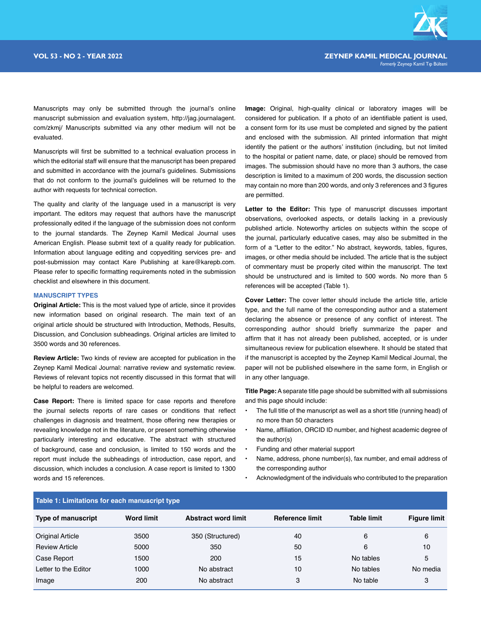

Manuscripts may only be submitted through the journal's online manuscript submission and evaluation system, http://jag.journalagent. com/zkmj/ Manuscripts submitted via any other medium will not be evaluated.

Manuscripts will first be submitted to a technical evaluation process in which the editorial staff will ensure that the manuscript has been prepared and submitted in accordance with the journal's guidelines. Submissions that do not conform to the journal's guidelines will be returned to the author with requests for technical correction.

The quality and clarity of the language used in a manuscript is very important. The editors may request that authors have the manuscript professionally edited if the language of the submission does not conform to the journal standards. The Zeynep Kamil Medical Journal uses American English. Please submit text of a quality ready for publication. Information about language editing and copyediting services pre- and post-submission may contact Kare Publishing at kare@karepb.com. Please refer to specific formatting requirements noted in the submission checklist and elsewhere in this document.

#### **MANUSCRIPT TYPES**

**Original Article:** This is the most valued type of article, since it provides new information based on original research. The main text of an original article should be structured with Introduction, Methods, Results, Discussion, and Conclusion subheadings. Original articles are limited to 3500 words and 30 references.

**Review Article:** Two kinds of review are accepted for publication in the Zeynep Kamil Medical Journal: narrative review and systematic review. Reviews of relevant topics not recently discussed in this format that will be helpful to readers are welcomed.

**Case Report:** There is limited space for case reports and therefore the journal selects reports of rare cases or conditions that reflect challenges in diagnosis and treatment, those offering new therapies or revealing knowledge not in the literature, or present something otherwise particularly interesting and educative. The abstract with structured of background, case and conclusion, is limited to 150 words and the report must include the subheadings of introduction, case report, and discussion, which includes a conclusion. A case report is limited to 1300 words and 15 references.

**Image:** Original, high-quality clinical or laboratory images will be considered for publication. If a photo of an identifiable patient is used, a consent form for its use must be completed and signed by the patient and enclosed with the submission. All printed information that might identify the patient or the authors' institution (including, but not limited to the hospital or patient name, date, or place) should be removed from images. The submission should have no more than 3 authors, the case description is limited to a maximum of 200 words, the discussion section may contain no more than 200 words, and only 3 references and 3 figures are permitted.

Letter to the Editor: This type of manuscript discusses important observations, overlooked aspects, or details lacking in a previously published article. Noteworthy articles on subjects within the scope of the journal, particularly educative cases, may also be submitted in the form of a "Letter to the editor." No abstract, keywords, tables, figures, images, or other media should be included. The article that is the subject of commentary must be properly cited within the manuscript. The text should be unstructured and is limited to 500 words. No more than 5 references will be accepted (Table 1).

**Cover Letter:** The cover letter should include the article title, article type, and the full name of the corresponding author and a statement declaring the absence or presence of any conflict of interest. The corresponding author should briefly summarize the paper and affirm that it has not already been published, accepted, or is under simultaneous review for publication elsewhere. It should be stated that if the manuscript is accepted by the Zeynep Kamil Medical Journal, the paper will not be published elsewhere in the same form, in English or in any other language.

**Title Page:** A separate title page should be submitted with all submissions and this page should include:

- The full title of the manuscript as well as a short title (running head) of no more than 50 characters
- Name, affiliation, ORCID ID number, and highest academic degree of the author(s)
- Funding and other material support
- Name, address, phone number(s), fax number, and email address of the corresponding author
- Acknowledgment of the individuals who contributed to the preparation

| Table 1: Limitations for each manuscript type |                   |                            |                        |                    |                     |  |
|-----------------------------------------------|-------------------|----------------------------|------------------------|--------------------|---------------------|--|
| <b>Type of manuscript</b>                     | <b>Word limit</b> | <b>Abstract word limit</b> | <b>Reference limit</b> | <b>Table limit</b> | <b>Figure limit</b> |  |
| <b>Original Article</b>                       | 3500              | 350 (Structured)           | 40                     | 6                  | 6                   |  |
| <b>Review Article</b>                         | 5000              | 350                        | 50                     | 6                  | 10                  |  |
| Case Report                                   | 1500              | 200                        | 15                     | No tables          | 5                   |  |
| Letter to the Editor                          | 1000              | No abstract                | 10                     | No tables          | No media            |  |
| Image                                         | 200               | No abstract                | 3                      | No table           | 3                   |  |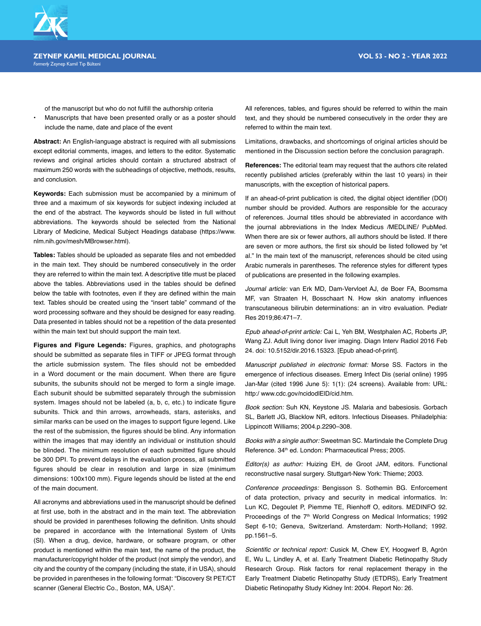

of the manuscript but who do not fulfill the authorship criteria

• Manuscripts that have been presented orally or as a poster should include the name, date and place of the event

**Abstract:** An English-language abstract is required with all submissions except editorial comments, images, and letters to the editor. Systematic reviews and original articles should contain a structured abstract of maximum 250 words with the subheadings of objective, methods, results, and conclusion.

**Keywords:** Each submission must be accompanied by a minimum of three and a maximum of six keywords for subject indexing included at the end of the abstract. The keywords should be listed in full without abbreviations. The keywords should be selected from the National Library of Medicine, Medical Subject Headings database (https://www. nlm.nih.gov/mesh/MBrowser.html).

**Tables:** Tables should be uploaded as separate files and not embedded in the main text. They should be numbered consecutively in the order they are referred to within the main text. A descriptive title must be placed above the tables. Abbreviations used in the tables should be defined below the table with footnotes, even if they are defined within the main text. Tables should be created using the "insert table" command of the word processing software and they should be designed for easy reading. Data presented in tables should not be a repetition of the data presented within the main text but should support the main text.

**Figures and Figure Legends:** Figures, graphics, and photographs should be submitted as separate files in TIFF or JPEG format through the article submission system. The files should not be embedded in a Word document or the main document. When there are figure subunits, the subunits should not be merged to form a single image. Each subunit should be submitted separately through the submission system. Images should not be labeled (a, b, c, etc.) to indicate figure subunits. Thick and thin arrows, arrowheads, stars, asterisks, and similar marks can be used on the images to support figure legend. Like the rest of the submission, the figures should be blind. Any information within the images that may identify an individual or institution should be blinded. The minimum resolution of each submitted figure should be 300 DPI. To prevent delays in the evaluation process, all submitted figures should be clear in resolution and large in size (minimum dimensions: 100x100 mm). Figure legends should be listed at the end of the main document.

All acronyms and abbreviations used in the manuscript should be defined at first use, both in the abstract and in the main text. The abbreviation should be provided in parentheses following the definition. Units should be prepared in accordance with the International System of Units (SI). When a drug, device, hardware, or software program, or other product is mentioned within the main text, the name of the product, the manufacturer/copyright holder of the product (not simply the vendor), and city and the country of the company (including the state, if in USA), should be provided in parentheses in the following format: "Discovery St PET/CT scanner (General Electric Co., Boston, MA, USA)".

All references, tables, and figures should be referred to within the main text, and they should be numbered consecutively in the order they are referred to within the main text.

Limitations, drawbacks, and shortcomings of original articles should be mentioned in the Discussion section before the conclusion paragraph.

**References:** The editorial team may request that the authors cite related recently published articles (preferably within the last 10 years) in their manuscripts, with the exception of historical papers.

If an ahead-of-print publication is cited, the digital object identifier (DOI) number should be provided. Authors are responsible for the accuracy of references. Journal titles should be abbreviated in accordance with the journal abbreviations in the Index Medicus /MEDLINE/ PubMed. When there are six or fewer authors, all authors should be listed. If there are seven or more authors, the first six should be listed followed by "et al." In the main text of the manuscript, references should be cited using Arabic numerals in parentheses. The reference styles for different types of publications are presented in the following examples.

*Journal article:* van Erk MD, Dam-Vervloet AJ, de Boer FA, Boomsma MF, van Straaten H, Bosschaart N. How skin anatomy influences transcutaneous bilirubin determinations: an in vitro evaluation. Pediatr Res 2019;86:471–7.

*Epub ahead-of-print article:* Cai L, Yeh BM, Westphalen AC, Roberts JP, Wang ZJ. Adult living donor liver imaging. Diagn Interv Radiol 2016 Feb 24. doi: 10.5152/dir.2016.15323. [Epub ahead-of-print].

*Manuscript published in electronic format:* Morse SS. Factors in the emergence of infectious diseases. Emerg Infect Dis (serial online) 1995 Jan-Mar (cited 1996 June 5): 1(1): (24 screens). Available from: URL: http:/ www.cdc.gov/ncidodlElD/cid.htm.

*Book section:* Suh KN, Keystone JS. Malaria and babesiosis. Gorbach SL, Barlett JG, Blacklow NR, editors. Infectious Diseases. Philadelphia: Lippincott Williams; 2004.p.2290–308.

*Books with a single author:* Sweetman SC. Martindale the Complete Drug Reference. 34<sup>th</sup> ed. London: Pharmaceutical Press; 2005.

*Editor(s) as author:* Huizing EH, de Groot JAM, editors. Functional reconstructive nasal surgery. Stuttgart-New York: Thieme; 2003.

*Conference proceedings:* Bengisson S. Sothemin BG. Enforcement of data protection, privacy and security in medical informatics. In: Lun KC, Degoulet P, Piemme TE, Rienhoff O, editors. MEDINFO 92. Proceedings of the 7<sup>th</sup> World Congress on Medical Informatics; 1992 Sept 6-10; Geneva, Switzerland. Amsterdam: North-Holland; 1992. pp.1561–5.

Scientific or technical report: Cusick M, Chew EY, Hoogwerf B, Agrón E, Wu L, Lindley A, et al. Early Treatment Diabetic Retinopathy Study Research Group. Risk factors for renal replacement therapy in the Early Treatment Diabetic Retinopathy Study (ETDRS), Early Treatment Diabetic Retinopathy Study Kidney Int: 2004. Report No: 26.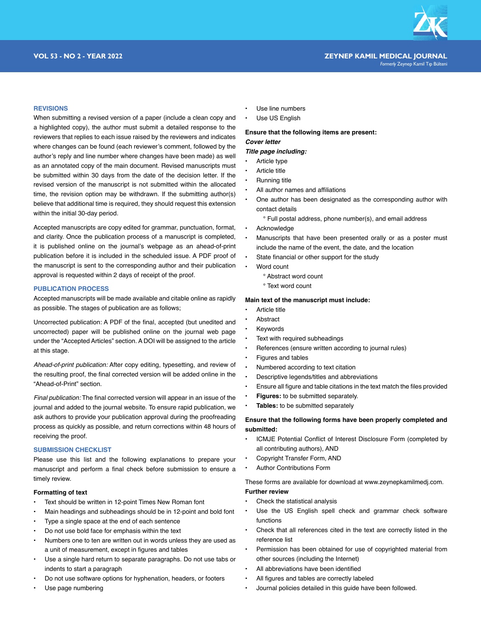

#### **REVISIONS**

When submitting a revised version of a paper (include a clean copy and a highlighted copy), the author must submit a detailed response to the reviewers that replies to each issue raised by the reviewers and indicates where changes can be found (each reviewer's comment, followed by the author's reply and line number where changes have been made) as well as an annotated copy of the main document. Revised manuscripts must be submitted within 30 days from the date of the decision letter. If the revised version of the manuscript is not submitted within the allocated time, the revision option may be withdrawn. If the submitting author(s) believe that additional time is required, they should request this extension within the initial 30-day period.

Accepted manuscripts are copy edited for grammar, punctuation, format, and clarity. Once the publication process of a manuscript is completed, it is published online on the journal's webpage as an ahead-of-print publication before it is included in the scheduled issue. A PDF proof of the manuscript is sent to the corresponding author and their publication approval is requested within 2 days of receipt of the proof.

#### **PUBLICATION PROCESS**

Accepted manuscripts will be made available and citable online as rapidly as possible. The stages of publication are as follows;

Uncorrected publication: A PDF of the final, accepted (but unedited and uncorrected) paper will be published online on the journal web page under the "Accepted Articles" section. A DOI will be assigned to the article at this stage.

*Ahead-of-print publication:* After copy editing, typesetting, and review of the resulting proof, the final corrected version will be added online in the "Ahead-of-Print" section.

*Final publication:* The final corrected version will appear in an issue of the journal and added to the journal website. To ensure rapid publication, we ask authors to provide your publication approval during the proofreading process as quickly as possible, and return corrections within 48 hours of receiving the proof.

#### **SUBMISSION CHECKLIST**

Please use this list and the following explanations to prepare your manuscript and perform a final check before submission to ensure a timely review.

## **Formatting of text**

- Text should be written in 12-point Times New Roman font
- Main headings and subheadings should be in 12-point and bold font
- Type a single space at the end of each sentence
- Do not use bold face for emphasis within the text
- Numbers one to ten are written out in words unless they are used as a unit of measurement, except in figures and tables
- Use a single hard return to separate paragraphs. Do not use tabs or indents to start a paragraph
- Do not use software options for hyphenation, headers, or footers
- Use page numbering
- Use line numbers
- Use US English

# **Ensure that the following items are present:** *Cover letter*

#### *Title page including:*

- Article type
- Article title
- Running title
- All author names and affiliations
- One author has been designated as the corresponding author with contact details
	- ° Full postal address, phone number(s), and email address
- Acknowledge
- Manuscripts that have been presented orally or as a poster must include the name of the event, the date, and the location
- State financial or other support for the study
- Word count
	- ° Abstract word count
	- ° Text word count

#### **Main text of the manuscript must include:**

- Article title
- **Abstract**
- **Keywords**
- Text with required subheadings
- References (ensure written according to journal rules)
- Figures and tables
- Numbered according to text citation
- Descriptive legends/titles and abbreviations
- Ensure all figure and table citations in the text match the files provided
- **Figures:** to be submitted separately.
- **Tables:** to be submitted separately

### **Ensure that the following forms have been properly completed and submitted:**

- ICMJE Potential Conflict of Interest Disclosure Form (completed by all contributing authors), AND
- Copyright Transfer Form, AND
- Author Contributions Form

These forms are available for download at www.zeynepkamilmedj.com. **Further review**

- Check the statistical analysis
- Use the US English spell check and grammar check software functions
- Check that all references cited in the text are correctly listed in the reference list
- Permission has been obtained for use of copyrighted material from other sources (including the Internet)
- All abbreviations have been identified
- All figures and tables are correctly labeled
- Journal policies detailed in this guide have been followed.